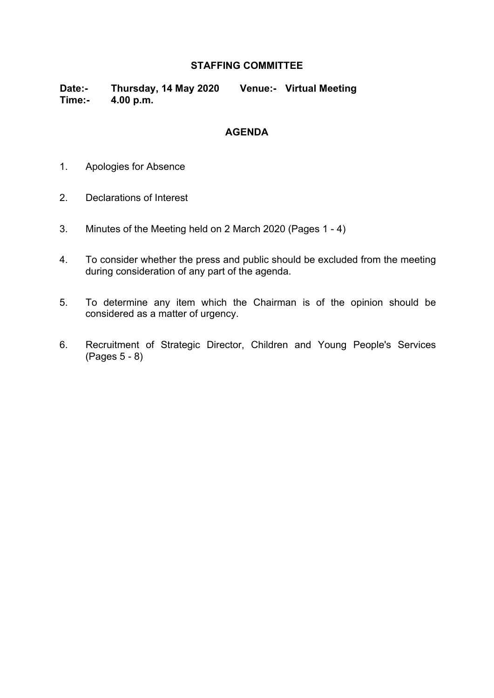### **STAFFING COMMITTEE**

**Date:- Thursday, 14 May 2020 Venue:- Virtual Meeting Time:- 4.00 p.m.**

#### **AGENDA**

- 1. Apologies for Absence
- 2. Declarations of Interest
- 3. Minutes of the Meeting held on 2 March 2020 (Pages 1 4)
- 4. To consider whether the press and public should be excluded from the meeting during consideration of any part of the agenda.
- 5. To determine any item which the Chairman is of the opinion should be considered as a matter of urgency.
- 6. Recruitment of Strategic Director, Children and Young People's Services (Pages 5 - 8)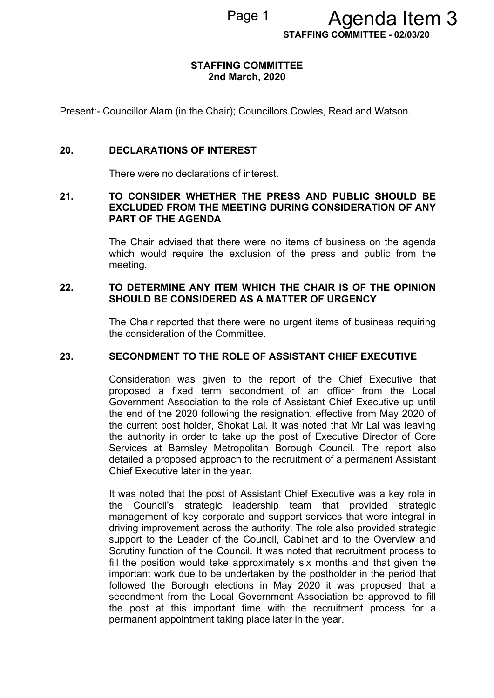Page 1 **Agenda Item 3** 

**STAFFING COMMITTEE - 02/03/20**

#### **STAFFING COMMITTEE 2nd March, 2020**

Present:- Councillor Alam (in the Chair); Councillors Cowles, Read and Watson.

#### **20. DECLARATIONS OF INTEREST**

There were no declarations of interest.

#### **21. TO CONSIDER WHETHER THE PRESS AND PUBLIC SHOULD BE EXCLUDED FROM THE MEETING DURING CONSIDERATION OF ANY PART OF THE AGENDA**

The Chair advised that there were no items of business on the agenda which would require the exclusion of the press and public from the meeting.

#### **22. TO DETERMINE ANY ITEM WHICH THE CHAIR IS OF THE OPINION SHOULD BE CONSIDERED AS A MATTER OF URGENCY**

The Chair reported that there were no urgent items of business requiring the consideration of the Committee.

### **23. SECONDMENT TO THE ROLE OF ASSISTANT CHIEF EXECUTIVE**

Consideration was given to the report of the Chief Executive that proposed a fixed term secondment of an officer from the Local Government Association to the role of Assistant Chief Executive up until the end of the 2020 following the resignation, effective from May 2020 of the current post holder, Shokat Lal. It was noted that Mr Lal was leaving the authority in order to take up the post of Executive Director of Core Services at Barnsley Metropolitan Borough Council. The report also detailed a proposed approach to the recruitment of a permanent Assistant Chief Executive later in the year.

It was noted that the post of Assistant Chief Executive was a key role in the Council's strategic leadership team that provided strategic management of key corporate and support services that were integral in driving improvement across the authority. The role also provided strategic support to the Leader of the Council, Cabinet and to the Overview and Scrutiny function of the Council. It was noted that recruitment process to fill the position would take approximately six months and that given the important work due to be undertaken by the postholder in the period that followed the Borough elections in May 2020 it was proposed that a secondment from the Local Government Association be approved to fill the post at this important time with the recruitment process for a permanent appointment taking place later in the year.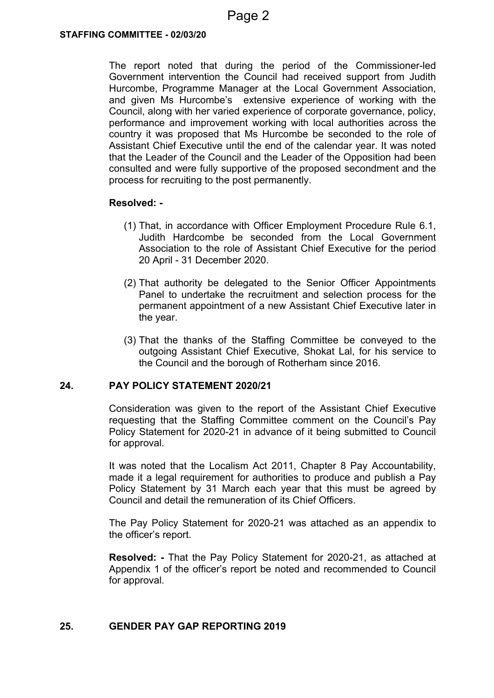The report noted that during the period of the Commissioner-led Government intervention the Council had received support from Judith Hurcombe, Programme Manager at the Local Government Association, and given Ms Hurcombe's extensive experience of working with the Council, along with her varied experience of corporate governance, policy, performance and improvement working with local authorities across the country it was proposed that Ms Hurcombe be seconded to the role of Assistant Chief Executive until the end of the calendar year. It was noted that the Leader of the Council and the Leader of the Opposition had been consulted and were fully supportive of the proposed secondment and the process for recruiting to the post permanently.

#### **Resolved: -**

- (1) That, in accordance with Officer Employment Procedure Rule 6.1, Judith Hardcombe be seconded from the Local Government Association to the role of Assistant Chief Executive for the period 20 April - 31 December 2020.
- (2) That authority be delegated to the Senior Officer Appointments Panel to undertake the recruitment and selection process for the permanent appointment of a new Assistant Chief Executive later in the year.
- (3) That the thanks of the Staffing Committee be conveyed to the outgoing Assistant Chief Executive, Shokat Lal, for his service to the Council and the borough of Rotherham since 2016.

### **24. PAY POLICY STATEMENT 2020/21**

Consideration was given to the report of the Assistant Chief Executive requesting that the Staffing Committee comment on the Council's Pay Policy Statement for 2020-21 in advance of it being submitted to Council for approval.

It was noted that the Localism Act 2011, Chapter 8 Pay Accountability, made it a legal requirement for authorities to produce and publish a Pay Policy Statement by 31 March each year that this must be agreed by Council and detail the remuneration of its Chief Officers.

The Pay Policy Statement for 2020-21 was attached as an appendix to the officer's report.

**Resolved: -** That the Pay Policy Statement for 2020-21, as attached at Appendix 1 of the officer's report be noted and recommended to Council for approval.

### **25. GENDER PAY GAP REPORTING 2019**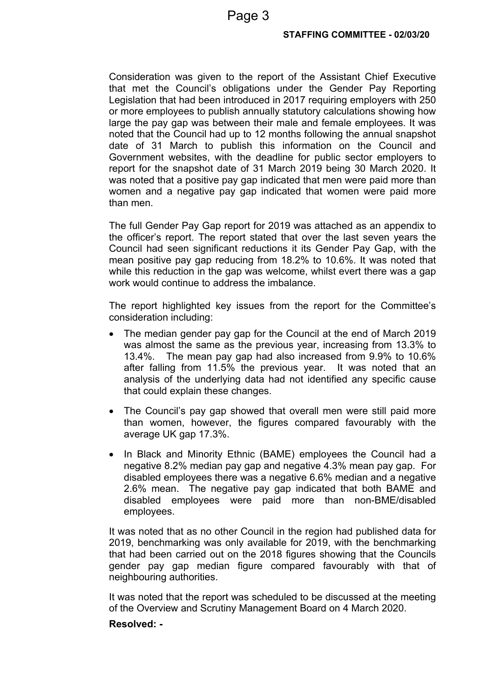Consideration was given to the report of the Assistant Chief Executive that met the Council's obligations under the Gender Pay Reporting Legislation that had been introduced in 2017 requiring employers with 250 or more employees to publish annually statutory calculations showing how large the pay gap was between their male and female employees. It was noted that the Council had up to 12 months following the annual snapshot date of 31 March to publish this information on the Council and Government websites, with the deadline for public sector employers to report for the snapshot date of 31 March 2019 being 30 March 2020. It was noted that a positive pay gap indicated that men were paid more than women and a negative pay gap indicated that women were paid more than men.

The full Gender Pay Gap report for 2019 was attached as an appendix to the officer's report. The report stated that over the last seven years the Council had seen significant reductions it its Gender Pay Gap, with the mean positive pay gap reducing from 18.2% to 10.6%. It was noted that while this reduction in the gap was welcome, whilst evert there was a gap work would continue to address the imbalance.

The report highlighted key issues from the report for the Committee's consideration including:

- The median gender pay gap for the Council at the end of March 2019 was almost the same as the previous year, increasing from 13.3% to 13.4%. The mean pay gap had also increased from 9.9% to 10.6% after falling from 11.5% the previous year. It was noted that an analysis of the underlying data had not identified any specific cause that could explain these changes.
- The Council's pay gap showed that overall men were still paid more than women, however, the figures compared favourably with the average UK gap 17.3%.
- In Black and Minority Ethnic (BAME) employees the Council had a negative 8.2% median pay gap and negative 4.3% mean pay gap. For disabled employees there was a negative 6.6% median and a negative 2.6% mean. The negative pay gap indicated that both BAME and disabled employees were paid more than non-BME/disabled employees.

It was noted that as no other Council in the region had published data for 2019, benchmarking was only available for 2019, with the benchmarking that had been carried out on the 2018 figures showing that the Councils gender pay gap median figure compared favourably with that of neighbouring authorities.

It was noted that the report was scheduled to be discussed at the meeting of the Overview and Scrutiny Management Board on 4 March 2020.

### **Resolved: -**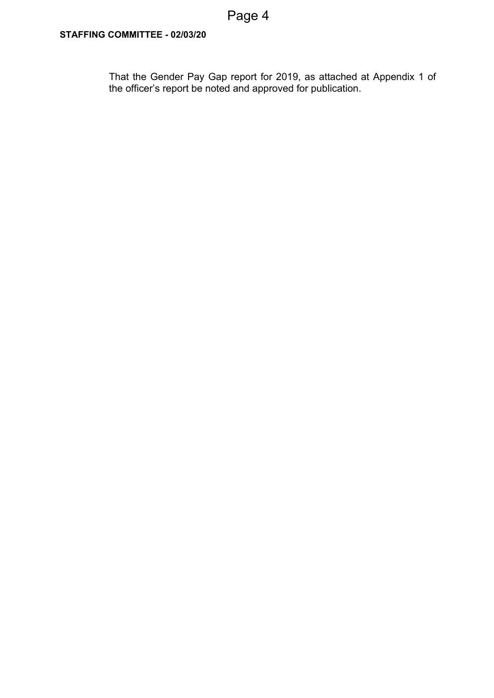That the Gender Pay Gap report for 2019, as attached at Appendix 1 of the officer's report be noted and approved for publication.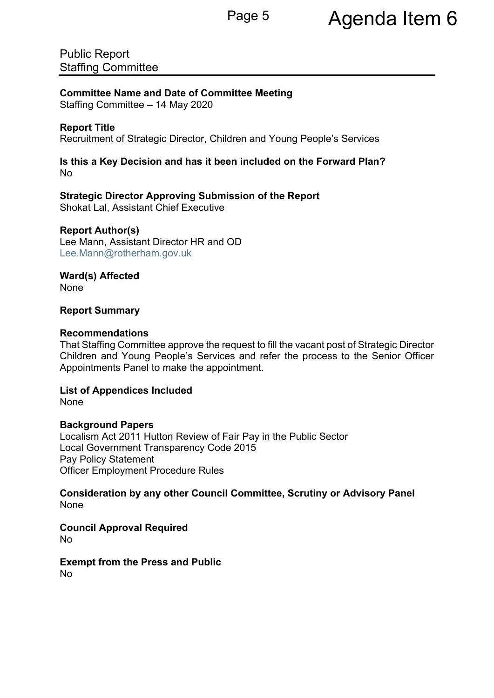Public Report Staffing Committee

**Committee Name and Date of Committee Meeting**

Staffing Committee – 14 May 2020

## **Report Title**

Recruitment of Strategic Director, Children and Young People's Services

### **Is this a Key Decision and has it been included on the Forward Plan?** No

**Strategic Director Approving Submission of the Report** Shokat Lal, Assistant Chief Executive

### **Report Author(s)**

Lee Mann, Assistant Director HR and OD [Lee.Mann@rotherham.gov.uk](mailto:Lee.Mann@rotherham.gov.uk)

**Ward(s) Affected** None

### **Report Summary**

### **Recommendations**

That Staffing Committee approve the request to fill the vacant post of Strategic Director Children and Young People's Services and refer the process to the Senior Officer Appointments Panel to make the appointment.

**List of Appendices Included** None

### **Background Papers**

Localism Act 2011 Hutton Review of Fair Pay in the Public Sector Local Government Transparency Code 2015 Pay Policy Statement Officer Employment Procedure Rules

**Consideration by any other Council Committee, Scrutiny or Advisory Panel** None

**Council Approval Required** No

**Exempt from the Press and Public** No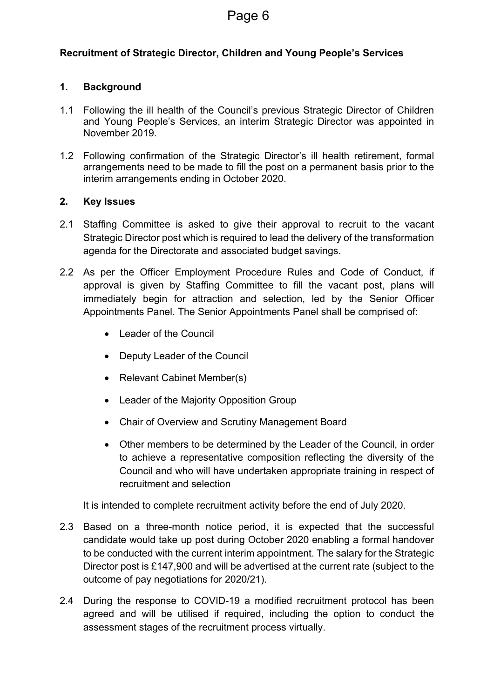## **Recruitment of Strategic Director, Children and Young People's Services**

### **1. Background**

- 1.1 Following the ill health of the Council's previous Strategic Director of Children and Young People's Services, an interim Strategic Director was appointed in November 2019.
- 1.2 Following confirmation of the Strategic Director's ill health retirement, formal arrangements need to be made to fill the post on a permanent basis prior to the interim arrangements ending in October 2020.

### **2. Key Issues**

- 2.1 Staffing Committee is asked to give their approval to recruit to the vacant Strategic Director post which is required to lead the delivery of the transformation agenda for the Directorate and associated budget savings.
- 2.2 As per the Officer Employment Procedure Rules and Code of Conduct, if approval is given by Staffing Committee to fill the vacant post, plans will immediately begin for attraction and selection, led by the Senior Officer Appointments Panel. The Senior Appointments Panel shall be comprised of:
	- Leader of the Council
	- Deputy Leader of the Council
	- Relevant Cabinet Member(s)
	- Leader of the Majority Opposition Group
	- Chair of Overview and Scrutiny Management Board
	- Other members to be determined by the Leader of the Council, in order to achieve a representative composition reflecting the diversity of the Council and who will have undertaken appropriate training in respect of recruitment and selection

It is intended to complete recruitment activity before the end of July 2020.

- 2.3 Based on a three-month notice period, it is expected that the successful candidate would take up post during October 2020 enabling a formal handover to be conducted with the current interim appointment. The salary for the Strategic Director post is £147,900 and will be advertised at the current rate (subject to the outcome of pay negotiations for 2020/21).
- 2.4 During the response to COVID-19 a modified recruitment protocol has been agreed and will be utilised if required, including the option to conduct the assessment stages of the recruitment process virtually.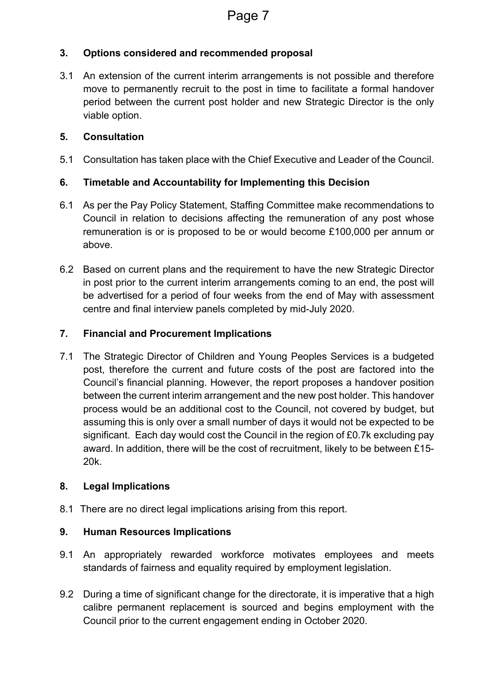# **3. Options considered and recommended proposal**

3.1 An extension of the current interim arrangements is not possible and therefore move to permanently recruit to the post in time to facilitate a formal handover period between the current post holder and new Strategic Director is the only viable option.

# **5. Consultation**

5.1 Consultation has taken place with the Chief Executive and Leader of the Council.

# **6. Timetable and Accountability for Implementing this Decision**

- 6.1 As per the Pay Policy Statement, Staffing Committee make recommendations to Council in relation to decisions affecting the remuneration of any post whose remuneration is or is proposed to be or would become £100,000 per annum or above.
- 6.2 Based on current plans and the requirement to have the new Strategic Director in post prior to the current interim arrangements coming to an end, the post will be advertised for a period of four weeks from the end of May with assessment centre and final interview panels completed by mid-July 2020.

## **7. Financial and Procurement Implications**

7.1 The Strategic Director of Children and Young Peoples Services is a budgeted post, therefore the current and future costs of the post are factored into the Council's financial planning. However, the report proposes a handover position between the current interim arrangement and the new post holder. This handover process would be an additional cost to the Council, not covered by budget, but assuming this is only over a small number of days it would not be expected to be significant. Each day would cost the Council in the region of £0.7k excluding pay award. In addition, there will be the cost of recruitment, likely to be between £15- 20k.

### **8. Legal Implications**

8.1 There are no direct legal implications arising from this report.

# **9. Human Resources Implications**

- 9.1 An appropriately rewarded workforce motivates employees and meets standards of fairness and equality required by employment legislation.
- 9.2 During a time of significant change for the directorate, it is imperative that a high calibre permanent replacement is sourced and begins employment with the Council prior to the current engagement ending in October 2020.